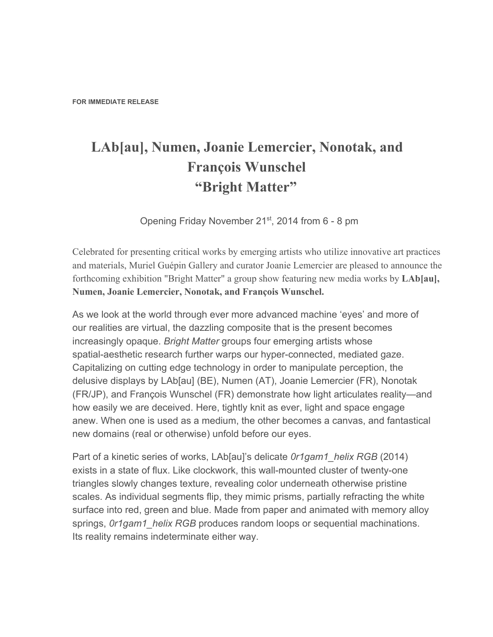## **LAb[au], Numen, Joanie Lemercier, Nonotak, and François Wunschel "Bright Matter"**

Opening Friday November 21<sup>st</sup>, 2014 from 6 - 8 pm

Celebrated for presenting critical works by emerging artists who utilize innovative art practices and materials, Muriel Guépin Gallery and curator Joanie Lemercier are pleased to announce the forthcoming exhibition "Bright Matter" a group show featuring new media works by **LAb[au], Numen, Joanie Lemercier, Nonotak, and François Wunschel.**

As we look at the world through ever more advanced machine 'eyes' and more of our realities are virtual, the dazzling composite that is the present becomes increasingly opaque. *Bright Matter* groups four emerging artists whose spatial-aesthetic research further warps our hyper-connected, mediated gaze. Capitalizing on cutting edge technology in order to manipulate perception, the delusive displays by LAb[au] (BE), Numen (AT), Joanie Lemercier (FR), Nonotak (FR/JP), and François Wunschel (FR) demonstrate how light articulates reality—and how easily we are deceived. Here, tightly knit as ever, light and space engage anew. When one is used as a medium, the other becomes a canvas, and fantastical new domains (real or otherwise) unfold before our eyes.

Part of a kinetic series of works, LAb[au]'s delicate *0r1gam1\_helix RGB* (2014) exists in a state of flux. Like clockwork, this wall-mounted cluster of twenty-one triangles slowly changes texture, revealing color underneath otherwise pristine scales. As individual segments flip, they mimic prisms, partially refracting the white surface into red, green and blue. Made from paper and animated with memory alloy springs, *0r1gam1\_helix RGB* produces random loops or sequential machinations. Its reality remains indeterminate either way.